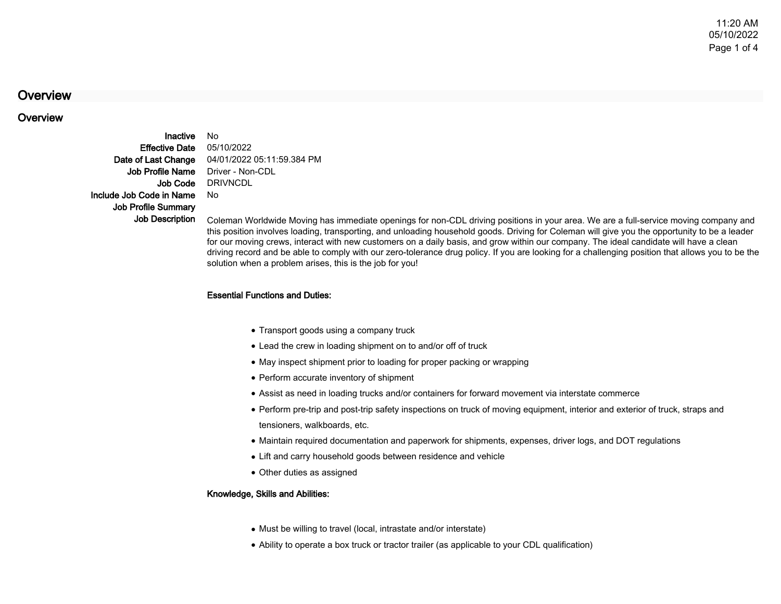# **Overview**

## **Overview**

InactiveEffective DateDate of Last ChangeJob Profile NameJob CodeInclude Job Code in NameJob Profile SummaryJob Description

 No 05/10/2022 04/01/2022 05:11:59.384 PM Driver - Non-CDL **DRIVNCDL** No

 Coleman Worldwide Moving has immediate openings for non-CDL driving positions in your area. We are a full-service moving company and this position involves loading, transporting, and unloading household goods. Driving for Coleman will give you the opportunity to be a leaderfor our moving crews, interact with new customers on a daily basis, and grow within our company. The ideal candidate will have a clean driving record and be able to comply with our zero-tolerance drug policy. If you are looking for a challenging position that allows you to be thesolution when a problem arises, this is the job for you!

#### Essential Functions and Duties:

- Transport goods using a company truck
- Lead the crew in loading shipment on to and/or off of truck
- May inspect shipment prior to loading for proper packing or wrapping
- Perform accurate inventory of shipment
- Assist as need in loading trucks and/or containers for forward movement via interstate commerce
- Perform pre-trip and post-trip safety inspections on truck of moving equipment, interior and exterior of truck, straps and tensioners, walkboards, etc.
- Maintain required documentation and paperwork for shipments, expenses, driver logs, and DOT regulations
- Lift and carry household goods between residence and vehicle
- Other duties as assigned

#### Knowledge, Skills and Abilities:

- Must be willing to travel (local, intrastate and/or interstate)
- Ability to operate a box truck or tractor trailer (as applicable to your CDL qualification)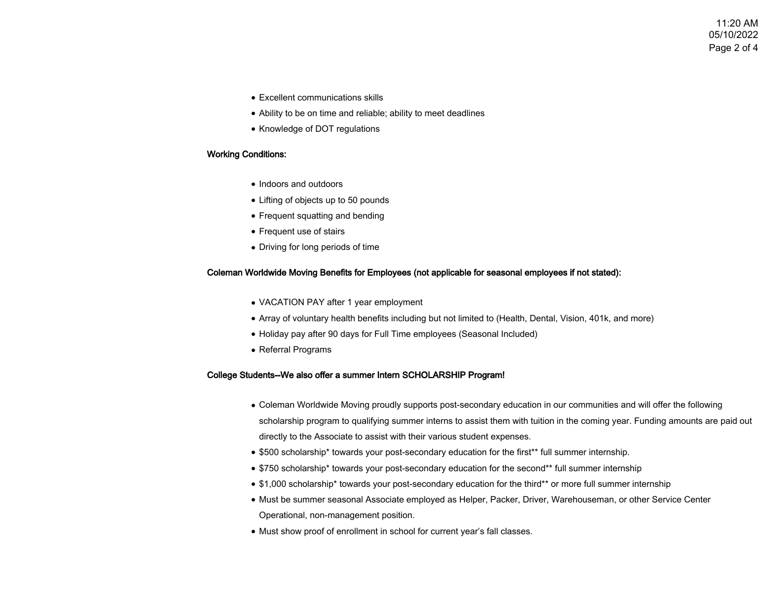11:20 AM 05/10/2022Page 2 of 4

- Excellent communications skills
- Ability to be on time and reliable; ability to meet deadlines
- Knowledge of DOT regulations

### Working Conditions:

- Indoors and outdoors
- Lifting of objects up to 50 pounds
- Frequent squatting and bending
- Frequent use of stairs
- Driving for long periods of time

#### Coleman Worldwide Moving Benefits for Employees (not applicable for seasonal employees if not stated):

- VACATION PAY after 1 year employment
- Array of voluntary health benefits including but not limited to (Health, Dental, Vision, 401k, and more)
- Holiday pay after 90 days for Full Time employees (Seasonal Included)
- Referral Programs

#### College Students--We also offer a summer Intern SCHOLARSHIP Program!

- Coleman Worldwide Moving proudly supports post-secondary education in our communities and will offer the following scholarship program to qualifying summer interns to assist them with tuition in the coming year. Funding amounts are paid outdirectly to the Associate to assist with their various student expenses.
- \$500 scholarship\* towards your post-secondary education for the first\*\* full summer internship.
- \$750 scholarship\* towards your post-secondary education for the second\*\* full summer internship
- \$1,000 scholarship\* towards your post-secondary education for the third\*\* or more full summer internship
- Must be summer seasonal Associate employed as Helper, Packer, Driver, Warehouseman, or other Service Center Operational, non-management position.
- Must show proof of enrollment in school for current year's fall classes.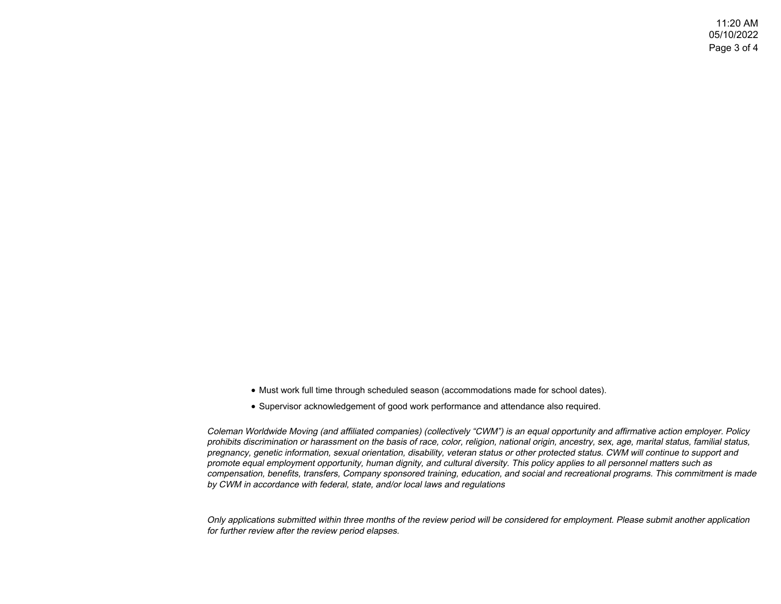- Must work full time through scheduled season (accommodations made for school dates).
- Supervisor acknowledgement of good work performance and attendance also required.

Coleman Worldwide Moving (and affiliated companies) (collectively "CWM") is an equal opportunity and affirmative action employer. Policy prohibits discrimination or harassment on the basis of race, color, religion, national origin, ancestry, sex, age, marital status, familial status,pregnancy, genetic information, sexual orientation, disability, veteran status or other protected status. CWM will continue to support andpromote equal employment opportunity, human dignity, and cultural diversity. This policy applies to all personnel matters such as compensation, benefits, transfers, Company sponsored training, education, and social and recreational programs. This commitment is madeby CWM in accordance with federal, state, and/or local laws and regulations

Only applications submitted within three months of the review period will be considered for employment. Please submit another applicationfor further review after the review period elapses.